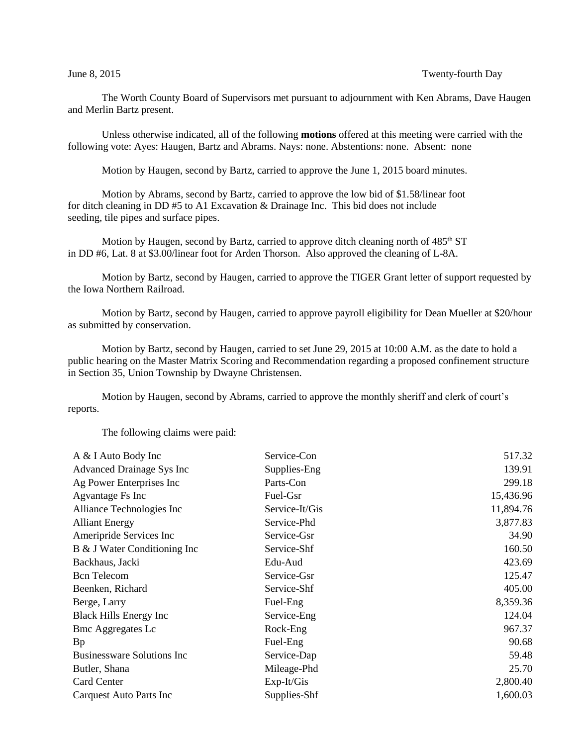The Worth County Board of Supervisors met pursuant to adjournment with Ken Abrams, Dave Haugen and Merlin Bartz present.

Unless otherwise indicated, all of the following **motions** offered at this meeting were carried with the following vote: Ayes: Haugen, Bartz and Abrams. Nays: none. Abstentions: none. Absent: none

Motion by Haugen, second by Bartz, carried to approve the June 1, 2015 board minutes.

Motion by Abrams, second by Bartz, carried to approve the low bid of \$1.58/linear foot for ditch cleaning in DD #5 to A1 Excavation & Drainage Inc. This bid does not include seeding, tile pipes and surface pipes.

Motion by Haugen, second by Bartz, carried to approve ditch cleaning north of  $485<sup>th</sup> ST$ in DD #6, Lat. 8 at \$3.00/linear foot for Arden Thorson. Also approved the cleaning of L-8A.

Motion by Bartz, second by Haugen, carried to approve the TIGER Grant letter of support requested by the Iowa Northern Railroad.

Motion by Bartz, second by Haugen, carried to approve payroll eligibility for Dean Mueller at \$20/hour as submitted by conservation.

Motion by Bartz, second by Haugen, carried to set June 29, 2015 at 10:00 A.M. as the date to hold a public hearing on the Master Matrix Scoring and Recommendation regarding a proposed confinement structure in Section 35, Union Township by Dwayne Christensen.

Motion by Haugen, second by Abrams, carried to approve the monthly sheriff and clerk of court's reports.

The following claims were paid:

| A & I Auto Body Inc             | Service-Con    | 517.32    |
|---------------------------------|----------------|-----------|
| Advanced Drainage Sys Inc       | Supplies-Eng   | 139.91    |
| Ag Power Enterprises Inc        | Parts-Con      | 299.18    |
| <b>Agvantage Fs Inc</b>         | Fuel-Gsr       | 15,436.96 |
| Alliance Technologies Inc       | Service-It/Gis | 11,894.76 |
| <b>Alliant Energy</b>           | Service-Phd    | 3,877.83  |
| Ameripride Services Inc         | Service-Gsr    | 34.90     |
| B & J Water Conditioning Inc    | Service-Shf    | 160.50    |
| Backhaus, Jacki                 | Edu-Aud        | 423.69    |
| <b>Bcn</b> Telecom              | Service-Gsr    | 125.47    |
| Beenken, Richard                | Service-Shf    | 405.00    |
| Berge, Larry                    | Fuel-Eng       | 8,359.36  |
| <b>Black Hills Energy Inc</b>   | Service-Eng    | 124.04    |
| <b>Bmc Aggregates Lc</b>        | Rock-Eng       | 967.37    |
| <b>Bp</b>                       | Fuel-Eng       | 90.68     |
| Businessware Solutions Inc      | Service-Dap    | 59.48     |
| Butler, Shana                   | Mileage-Phd    | 25.70     |
| <b>Card Center</b>              | $Exp-It/Gis$   | 2,800.40  |
| <b>Carquest Auto Parts Inc.</b> | Supplies-Shf   | 1,600.03  |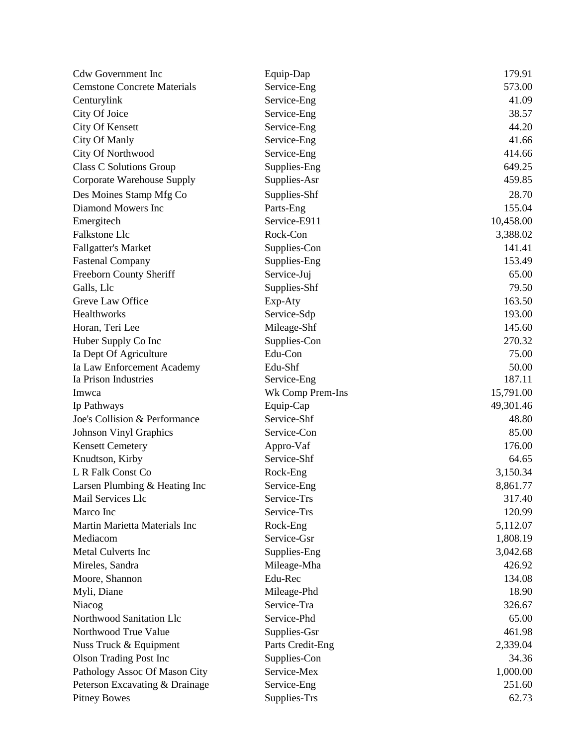| <b>Cdw Government Inc</b>          | Equip-Dap        | 179.91    |
|------------------------------------|------------------|-----------|
| <b>Cemstone Concrete Materials</b> | Service-Eng      | 573.00    |
| Centurylink                        | Service-Eng      | 41.09     |
| City Of Joice                      | Service-Eng      | 38.57     |
| <b>City Of Kensett</b>             | Service-Eng      | 44.20     |
| City Of Manly                      | Service-Eng      | 41.66     |
| City Of Northwood                  | Service-Eng      | 414.66    |
| <b>Class C Solutions Group</b>     | Supplies-Eng     | 649.25    |
| Corporate Warehouse Supply         | Supplies-Asr     | 459.85    |
| Des Moines Stamp Mfg Co            | Supplies-Shf     | 28.70     |
| Diamond Mowers Inc                 | Parts-Eng        | 155.04    |
| Emergitech                         | Service-E911     | 10,458.00 |
| Falkstone Llc                      | Rock-Con         | 3,388.02  |
| <b>Fallgatter's Market</b>         | Supplies-Con     | 141.41    |
| <b>Fastenal Company</b>            | Supplies-Eng     | 153.49    |
| Freeborn County Sheriff            | Service-Juj      | 65.00     |
| Galls, Llc                         | Supplies-Shf     | 79.50     |
| Greve Law Office                   | Exp-Aty          | 163.50    |
| Healthworks                        | Service-Sdp      | 193.00    |
| Horan, Teri Lee                    | Mileage-Shf      | 145.60    |
| Huber Supply Co Inc                | Supplies-Con     | 270.32    |
| Ia Dept Of Agriculture             | Edu-Con          | 75.00     |
| Ia Law Enforcement Academy         | Edu-Shf          | 50.00     |
| Ia Prison Industries               | Service-Eng      | 187.11    |
| Imwca                              | Wk Comp Prem-Ins | 15,791.00 |
| Ip Pathways                        | Equip-Cap        | 49,301.46 |
| Joe's Collision & Performance      | Service-Shf      | 48.80     |
| <b>Johnson Vinyl Graphics</b>      | Service-Con      | 85.00     |
| <b>Kensett Cemetery</b>            | Appro-Vaf        | 176.00    |
| Knudtson, Kirby                    | Service-Shf      | 64.65     |
| L R Falk Const Co                  | Rock-Eng         | 3,150.34  |
| Larsen Plumbing & Heating Inc      | Service-Eng      | 8,861.77  |
| Mail Services Llc                  | Service-Trs      | 317.40    |
| Marco Inc                          | Service-Trs      | 120.99    |
| Martin Marietta Materials Inc      | Rock-Eng         | 5,112.07  |
| Mediacom                           | Service-Gsr      | 1,808.19  |
| <b>Metal Culverts Inc</b>          | Supplies-Eng     | 3,042.68  |
| Mireles, Sandra                    | Mileage-Mha      | 426.92    |
| Moore, Shannon                     | Edu-Rec          | 134.08    |
| Myli, Diane                        | Mileage-Phd      | 18.90     |
| Niacog                             | Service-Tra      | 326.67    |
| Northwood Sanitation Llc           | Service-Phd      | 65.00     |
| Northwood True Value               | Supplies-Gsr     | 461.98    |
| Nuss Truck & Equipment             | Parts Credit-Eng | 2,339.04  |
| <b>Olson Trading Post Inc</b>      | Supplies-Con     | 34.36     |
| Pathology Assoc Of Mason City      | Service-Mex      | 1,000.00  |
| Peterson Excavating & Drainage     | Service-Eng      | 251.60    |
| <b>Pitney Bowes</b>                | Supplies-Trs     | 62.73     |